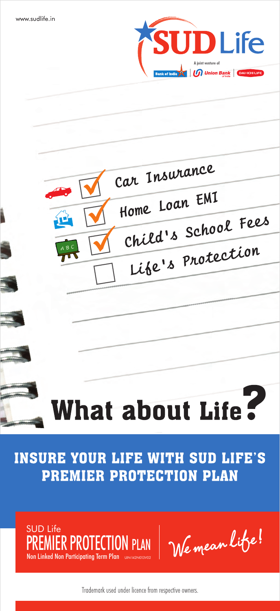





# **INSURE YOUR LIFE WITH SUD LIFE'S** PREMIER PROTECTION PLAN



Trademark used under licence from respective owners.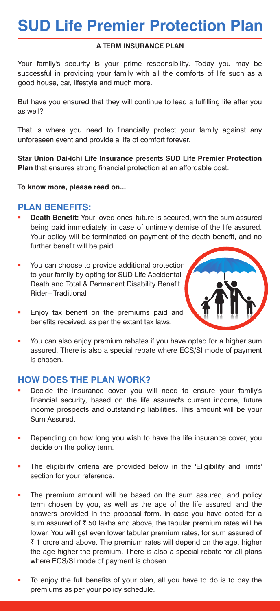# **SUD Life Premier Protection Plan**

# **A TERM INSURANCE PLAN**

Your family's security is your prime responsibility. Today you may be successful in providing your family with all the comforts of life such as a good house, car, lifestyle and much more.

But have you ensured that they will continue to lead a fulfilling life after you as well?

That is where you need to financially protect your family against any unforeseen event and provide a life of comfort forever.

**Star Union Dai-ichi Life Insurance** presents **SUD Life Premier Protection Plan** that ensures strong financial protection at an affordable cost.

**To know more, please read on...**

# **PLAN BENEFITS:**

- **Death Benefit:** Your loved ones' future is secured, with the sum assured being paid immediately, in case of untimely demise of the life assured. Your policy will be terminated on payment of the death benefit, and no further benefit will be paid
- You can choose to provide additional protection to your family by opting for SUD Life Accidental Death and Total & Permanent Disability Benefit Rider – Traditional



- **Enjoy tax benefit on the premiums paid and** benefits received, as per the extant tax laws.
- You can also enjoy premium rebates if you have opted for a higher sum assured. There is also a special rebate where ECS/SI mode of payment is chosen.

# **HOW DOES THE PLAN WORK?**

- **•** Decide the insurance cover you will need to ensure your family's financial security, based on the life assured's current income, future income prospects and outstanding liabilities. This amount will be your Sum Assured.
- Depending on how long you wish to have the life insurance cover, you decide on the policy term.
- The eligibility criteria are provided below in the 'Eligibility and limits' section for your reference.
- The premium amount will be based on the sum assured, and policy term chosen by you, as well as the age of the life assured, and the answers provided in the proposal form. In case you have opted for a sum assured of  $\bar{\tau}$  50 lakhs and above, the tabular premium rates will be lower. You will get even lower tabular premium rates, for sum assured of  $\bar{\tau}$  1 crore and above. The premium rates will depend on the age, higher the age higher the premium. There is also a special rebate for all plans where ECS/SI mode of payment is chosen.
- To enjoy the full benefits of your plan, all you have to do is to pay the premiums as per your policy schedule.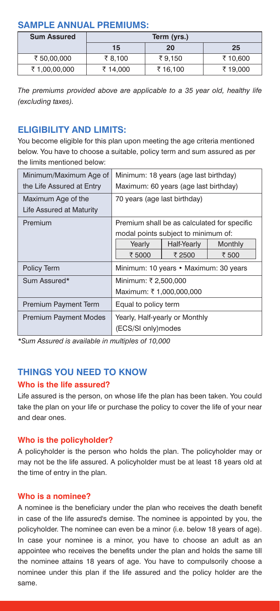# **SAMPLE ANNUAL PREMIUMS:**

| <b>Sum Assured</b> | Term (yrs.) |          |          |  |
|--------------------|-------------|----------|----------|--|
|                    | 15          | 20       | 25       |  |
| ₹ 50.00.000        | ₹8.100      | ₹9.150   | ₹ 10,600 |  |
| ₹1,00,00,000       | ₹ 14.000    | ₹ 16,100 | ₹ 19.000 |  |

*The premiums provided above are applicable to a 35 year old, healthy life (excluding taxes).*

# **ELIGIBILITY AND LIMITS:**

You become eligible for this plan upon meeting the age criteria mentioned below. You have to choose a suitable, policy term and sum assured as per the limits mentioned below:

| Minimum/Maximum Age of<br>the Life Assured at Entry | Minimum: 18 years (age last birthday)<br>Maximum: 60 years (age last birthday) |                       |                                                                 |  |
|-----------------------------------------------------|--------------------------------------------------------------------------------|-----------------------|-----------------------------------------------------------------|--|
| Maximum Age of the<br>Life Assured at Maturity      | 70 years (age last birthday)                                                   |                       |                                                                 |  |
| Premium                                             | modal points subject to minimum of:<br>Yearly<br>₹ 5000                        | Half-Yearly<br>₹ 2500 | Premium shall be as calculated for specific<br>Monthly<br>₹ 500 |  |
| Policy Term                                         | Minimum: 10 years • Maximum: 30 years                                          |                       |                                                                 |  |
| Sum Assured*                                        | Minimum: ₹2,500,000<br>Maximum: ₹1,000,000,000                                 |                       |                                                                 |  |
| <b>Premium Payment Term</b>                         | Equal to policy term                                                           |                       |                                                                 |  |
| <b>Premium Payment Modes</b>                        | Yearly, Half-yearly or Monthly<br>(ECS/SI only) modes                          |                       |                                                                 |  |

*\*Sum Assured is available in multiples of 10,000*

# **THINGS YOU NEED TO KNOW**

# **Who is the life assured?**

Life assured is the person, on whose life the plan has been taken. You could take the plan on your life or purchase the policy to cover the life of your near and dear ones.

# **Who is the policyholder?**

A policyholder is the person who holds the plan. The policyholder may or may not be the life assured. A policyholder must be at least 18 years old at the time of entry in the plan.

# **Who is a nominee?**

A nominee is the beneficiary under the plan who receives the death benefit in case of the life assured's demise. The nominee is appointed by you, the policyholder. The nominee can even be a minor (i.e. below 18 years of age). In case your nominee is a minor, you have to choose an adult as an appointee who receives the benefits under the plan and holds the same till the nominee attains 18 years of age. You have to compulsorily choose a nominee under this plan if the life assured and the policy holder are the same.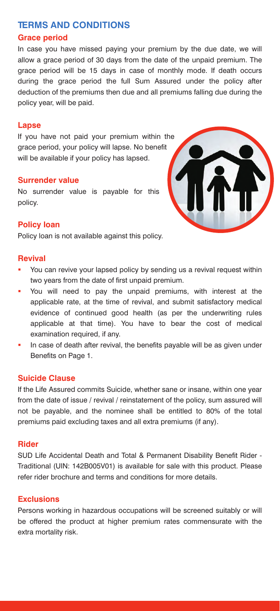# **TERMS AND CONDITIONS**

# **Grace period**

In case you have missed paying your premium by the due date, we will allow a grace period of 30 days from the date of the unpaid premium. The grace period will be 15 days in case of monthly mode. If death occurs during the grace period the full Sum Assured under the policy after deduction of the premiums then due and all premiums falling due during the policy year, will be paid.

#### **Lapse**

If you have not paid your premium within the grace period, your policy will lapse. No benefit will be available if your policy has lapsed.

#### **Surrender value**

No surrender value is payable for this policy.



#### **Policy loan**

Policy loan is not available against this policy.

#### **Revival**

- You can revive your lapsed policy by sending us a revival request within two years from the date of first unpaid premium.
- § You will need to pay the unpaid premiums, with interest at the applicable rate, at the time of revival, and submit satisfactory medical evidence of continued good health (as per the underwriting rules applicable at that time). You have to bear the cost of medical examination required, if any.
- **IF** In case of death after revival, the benefits payable will be as given under Benefits on Page 1.

#### **Suicide Clause**

If the Life Assured commits Suicide, whether sane or insane, within one year from the date of issue / revival / reinstatement of the policy, sum assured will not be payable, and the nominee shall be entitled to 80% of the total premiums paid excluding taxes and all extra premiums (if any).

#### **Rider**

SUD Life Accidental Death and Total & Permanent Disability Benefit Rider - Traditional (UIN: 142B005V01) is available for sale with this product. Please refer rider brochure and terms and conditions for more details.

#### **Exclusions**

Persons working in hazardous occupations will be screened suitably or will be offered the product at higher premium rates commensurate with the extra mortality risk.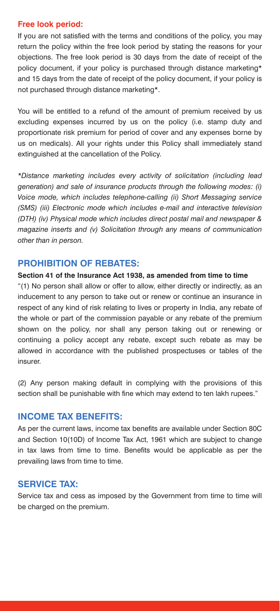#### **Free look period:**

If you are not satisfied with the terms and conditions of the policy, you may return the policy within the free look period by stating the reasons for your objections. The free look period is 30 days from the date of receipt of the policy document, if your policy is purchased through distance marketing\* and 15 days from the date of receipt of the policy document, if your policy is not purchased through distance marketing\*.

You will be entitled to a refund of the amount of premium received by us excluding expenses incurred by us on the policy (i.e. stamp duty and proportionate risk premium for period of cover and any expenses borne by us on medicals). All your rights under this Policy shall immediately stand extinguished at the cancellation of the Policy.

*\*Distance marketing includes every activity of solicitation (including lead generation) and sale of insurance products through the following modes: (i) Voice mode, which includes telephone-calling (ii) Short Messaging service (SMS) (iii) Electronic mode which includes e-mail and interactive television (DTH) (iv) Physical mode which includes direct postal mail and newspaper & magazine inserts and (v) Solicitation through any means of communication other than in person.*

# **PROHIBITION OF REBATES:**

#### **Section 41 of the Insurance Act 1938, as amended from time to time**

"(1) No person shall allow or offer to allow, either directly or indirectly, as an inducement to any person to take out or renew or continue an insurance in respect of any kind of risk relating to lives or property in India, any rebate of the whole or part of the commission payable or any rebate of the premium shown on the policy, nor shall any person taking out or renewing or continuing a policy accept any rebate, except such rebate as may be allowed in accordance with the published prospectuses or tables of the insurer.

(2) Any person making default in complying with the provisions of this section shall be punishable with fine which may extend to ten lakh rupees."

# **INCOME TAX BENEFITS:**

As per the current laws, income tax benefits are available under Section 80C and Section 10(10D) of Income Tax Act, 1961 which are subject to change in tax laws from time to time. Benefits would be applicable as per the prevailing laws from time to time.

# **SERVICE TAX:**

Service tax and cess as imposed by the Government from time to time will be charged on the premium.